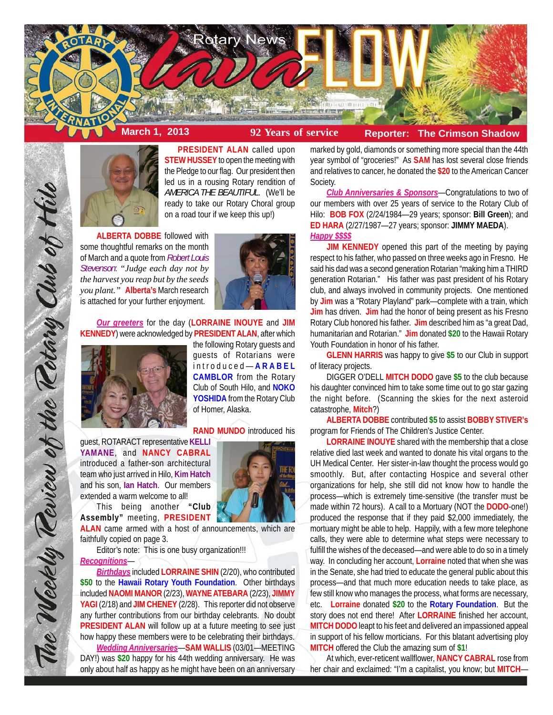



**PRESIDENT ALAN** called upon **STEW HUSSEY** to open the meeting with the Pledge to our flag. Our president then led us in a rousing Rotary rendition of *AMERICA THE BEAUTIFUL*. (We'll be ready to take our Rotary Choral group on a road tour if we keep this up!)

**ALBERTA DOBBE** followed with some thoughtful remarks on the month of March and a quote from *Robert Louis Stevenson*: *"Judge each day not by the harvest you reap but by the seeds you plant."* **Alberta's** March research is attached for your further enjoyment.



*Our greeters* for the day (**LORRAINE INOUYE** and **JIM KENNEDY**) were acknowledged by **PRESIDENT ALAN**, after which



the following Rotary guests and guests of Rotarians were introduced— **ARABEL CAMBLOR** from the Rotary Club of South Hilo, and **NOKO YOSHIDA** from the Rotary Club of Homer, Alaska.

**RAND MUNDO** introduced his

guest, ROTARACT representative **KELLI YAMANE**, and **NANCY CABRAL** introduced a father-son architectural team who just arrived in Hilo, **Kim Hatch** and his son, **Ian Hatch**. Our members extended a warm welcome to all!

This being another **"Club Assembly"** meeting, **PRESIDENT**

**ALAN** came armed with a host of announcements, which are faithfully copied on page 3.

Editor's note: This is one busy organization!!!

#### *Recognitions*—

The Weekly Review of the Rotary Club of Hilo

*Birthdays* included **LORRAINE SHIN** (2/20), who contributed **\$50** to the **Hawaii Rotary Youth Foundation**. Other birthdays included **NAOMI MANOR** (2/23), **WAYNE ATEBARA** (2/23), **JIMMY YAGI** (2/18) and **JIM CHENEY** (2/28). This reporter did not observe any further contributions from our birthday celebrants. No doubt **PRESIDENT ALAN** will follow up at a future meeting to see just how happy these members were to be celebrating their birthdays. *Wedding Anniversaries*—**SAM WALLIS** (03/01—MEETING

DAY!) was **\$20** happy for his 44th wedding anniversary. He was only about half as happy as he might have been on an anniversary marked by gold, diamonds or something more special than the 44th year symbol of "groceries!" As **SAM** has lost several close friends and relatives to cancer, he donated the **\$20** to the American Cancer Society.

*Club Anniversaries & Sponsors*—Congratulations to two of our members with over 25 years of service to the Rotary Club of Hilo: **BOB FOX** (2/24/1984—29 years; sponsor: **Bill Green**); and **ED HARA** (2/27/1987—27 years; sponsor: **JIMMY MAEDA**). *Happy \$\$\$\$*

**JIM KENNEDY** opened this part of the meeting by paying respect to his father, who passed on three weeks ago in Fresno. He said his dad was a second generation Rotarian "making him a THIRD generation Rotarian." His father was past president of his Rotary club, and always involved in community projects. One mentioned by **Jim** was a "Rotary Playland" park—complete with a train, which **Jim** has driven. **Jim** had the honor of being present as his Fresno Rotary Club honored his father. **Jim** described him as "a great Dad, humanitarian and Rotarian." **Jim** donated **\$20** to the Hawaii Rotary Youth Foundation in honor of his father.

**GLENN HARRIS** was happy to give **\$5** to our Club in support of literacy projects.

DIGGER O'DELL **MITCH DODO** gave **\$5** to the club because his daughter convinced him to take some time out to go star gazing the night before. (Scanning the skies for the next asteroid catastrophe, **Mitch**?)

**ALBERTA DOBBE** contributed **\$5** to assist **BOBBY STIVER's** program for Friends of The Children's Justice Center.

**LORRAINE INOUYE** shared with the membership that a close relative died last week and wanted to donate his vital organs to the UH Medical Center. Her sister-in-law thought the process would go smoothly. But, after contacting Hospice and several other organizations for help, she still did not know how to handle the process—which is extremely time-sensitive (the transfer must be made within 72 hours). A call to a Mortuary (NOT the **DODO**-one!) produced the response that if they paid \$2,000 immediately, the mortuary might be able to help. Happily, with a few more telephone calls, they were able to determine what steps were necessary to fulfill the wishes of the deceased—and were able to do so in a timely way. In concluding her account, **Lorraine** noted that when she was in the Senate, she had tried to educate the general public about this process—and that much more education needs to take place, as few still know who manages the process, what forms are necessary, etc. **Lorraine** donated **\$20** to the **Rotary Foundation**. But the story does not end there! After **LORRAINE** finished her account, **MITCH DODO** leapt to his feet and delivered an impassioned appeal in support of his fellow morticians. For this blatant advertising ploy **MITCH** offered the Club the amazing sum of **\$1**!

At which, ever-reticent wallflower, **NANCY CABRAL** rose from her chair and exclaimed: "I'm a capitalist, you know; but **MITCH**—

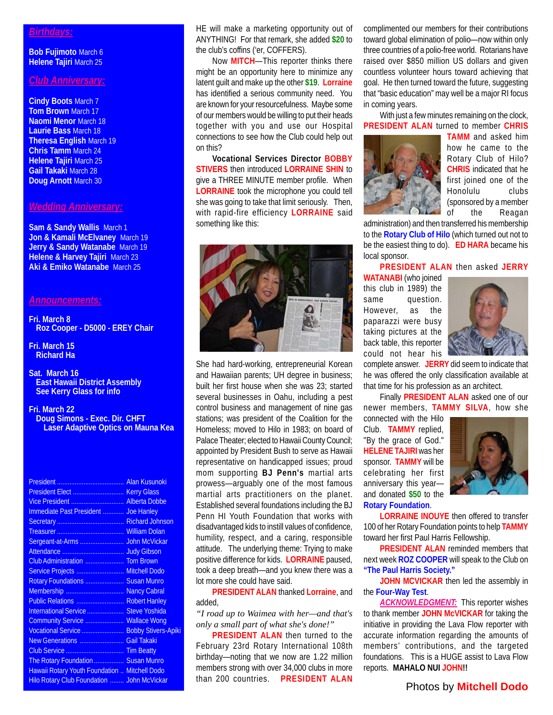#### *Birthdays:*

**Bob Fujimoto** March 6 **Helene Tajiri** March 25

### *Club Anniversary:*

**Cindy Boots** March 7 **Tom Brown** March 17 **Naomi Menor** March 18 **Laurie Bass** March 18 **Theresa English** March 19 **Chris Tamm** March 24 **Helene Tajiri** March 25 **Gail Takaki** March 28 **Doug Arnott** March 30

#### *Wedding Anniversary:*

**Sam & Sandy Wallis** March 1 **Jon & Kamali McElvaney** March 19 **Jerry & Sandy Watanabe** March 19 **Helene & Harvey Tajiri** March 23 **Aki & Emiko Watanabe** March 25

#### *Announcements:*

**Fri. March 8 Roz Cooper - D5000 - EREY Chair**

- **Fri. March 15 Richard Ha**
- **Sat. March 16 East Hawaii District Assembly See Kerry Glass for info**
- **Fri. March 22 Doug Simons - Exec. Dir. CHFT Laser Adaptive Optics on Mauna Kea**

| Vice President  Alberta Dobbe                 |  |
|-----------------------------------------------|--|
| Immediate Past President  Joe Hanley          |  |
|                                               |  |
|                                               |  |
|                                               |  |
|                                               |  |
| Club Administration  Tom Brown                |  |
| Service Projects  Mitchell Dodo               |  |
| Rotary Foundations  Susan Munro               |  |
| Membership  Nancy Cabral                      |  |
|                                               |  |
| International Service  Steve Yoshida          |  |
| Community Service  Wallace Wong               |  |
| Vocational Service  Bobby Stivers-Apiki       |  |
| New Generations  Gail Takaki                  |  |
|                                               |  |
| The Rotary Foundation  Susan Munro            |  |
| Hawaii Rotary Youth Foundation  Mitchell Dodo |  |
| Hilo Rotary Club Foundation  John McVickar    |  |
|                                               |  |

HE will make a marketing opportunity out of ANYTHING! For that remark, she added **\$20** to the club's coffins ('er, COFFERS).

Now **MITCH**—This reporter thinks there might be an opportunity here to minimize any latent guilt and make up the other **\$19**. **Lorraine** has identified a serious community need. You are known for your resourcefulness. Maybe some of our members would be willing to put their heads together with you and use our Hospital connections to see how the Club could help out on this?

**Vocational Services Director BOBBY STIVERS** then introduced **LORRAINE SHIN** to give a THREE MINUTE member profile. When **LORRAINE** took the microphone you could tell she was going to take that limit seriously. Then, with rapid-fire efficiency **LORRAINE** said something like this:



She had hard-working, entrepreneurial Korean and Hawaiian parents; UH degree in business; built her first house when she was 23; started several businesses in Oahu, including a pest control business and management of nine gas stations; was president of the Coalition for the Homeless; moved to Hilo in 1983; on board of Palace Theater; elected to Hawaii County Council; appointed by President Bush to serve as Hawaii representative on handicapped issues; proud mom supporting **BJ Penn's** martial arts prowess—arguably one of the most famous martial arts practitioners on the planet. Established several foundations including the BJ Penn HI Youth Foundation that works with disadvantaged kids to instill values of confidence, humility, respect, and a caring, responsible attitude. The underlying theme: Trying to make positive difference for kids. **LORRAINE** paused, took a deep breath—and you knew there was a lot more she could have said.

**PRESIDENT ALAN** thanked **Lorraine**, and added,

*"I road up to Waimea with her—and that's only a small part of what she's done!"*

**PRESIDENT ALAN** then turned to the February 23rd Rotary International 108th birthday—noting that we now are 1.22 million members strong with over 34,000 clubs in more than 200 countries. **PRESIDENT ALAN**

complimented our members for their contributions toward global elimination of polio—now within only three countries of a polio-free world. Rotarians have raised over \$850 million US dollars and given countless volunteer hours toward achieving that goal. He then turned toward the future, suggesting that "basic education" may well be a major RI focus in coming years.

With just a few minutes remaining on the clock, **PRESIDENT ALAN** turned to member **CHRIS**



**TAMM** and asked him how he came to the Rotary Club of Hilo? **CHRIS** indicated that he first joined one of the Honolulu clubs (sponsored by a member of the Reagan

administration) and then transferred his membership to the **Rotary Club of Hilo** (which turned out not to be the easiest thing to do). **ED HARA** became his local sponsor.

**PRESIDENT ALAN** then asked **JERRY**

**WATANABI** (who joined this club in 1989) the same question. However, as the paparazzi were busy taking pictures at the back table, this reporter could not hear his



complete answer. **JERRY** did seem to indicate that he was offered the only classification available at that time for his profession as an architect.

Finally **PRESIDENT ALAN** asked one of our newer members, **TAMMY SILVA**, how she

connected with the Hilo Club. **TAMMY** replied, "By the grace of God." **HELENE TAJIRI** was her sponsor. **TAMMY** will be celebrating her first anniversary this year and donated **\$50** to the **Rotary Foundation**.



**LORRAINE INOUYE** then offered to transfer 100 of her Rotary Foundation points to help **TAMMY** toward her first Paul Harris Fellowship.

**PRESIDENT ALAN** reminded members that next week **ROZ COOPER** will speak to the Club on **"The Paul Harris Society."**

**JOHN MCVICKAR** then led the assembly in the **Four-Way Test**.

**ACKNOWLEDGMENT:** This reporter wishes to thank member **JOHN McVICKAR** for taking the initiative in providing the Lava Flow reporter with accurate information regarding the amounts of members' contributions, and the targeted foundations. This is a HUGE assist to Lava Flow reports. **MAHALO NUI JOHN!!**

#### Photos by **Mitchell Dodo**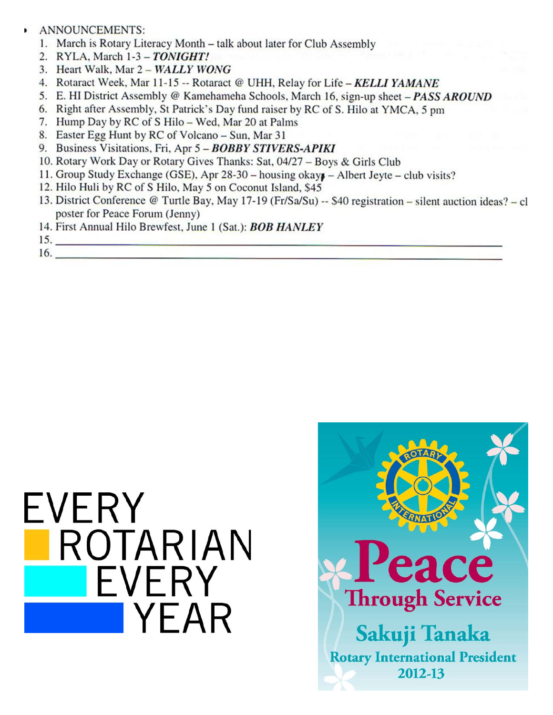## ANNOUNCEMENTS:

- 1. March is Rotary Literacy Month talk about later for Club Assembly
- 2. RYLA, March 1-3 TONIGHT!
- 3. Heart Walk, Mar 2 WALLY WONG
- 4. Rotaract Week, Mar 11-15 -- Rotaract @ UHH, Relay for Life KELLI YAMANE
- 5. E. HI District Assembly @ Kamehameha Schools, March 16, sign-up sheet PASS AROUND
- 6. Right after Assembly, St Patrick's Day fund raiser by RC of S. Hilo at YMCA, 5 pm
- 7. Hump Day by RC of S Hilo Wed, Mar 20 at Palms
- 8. Easter Egg Hunt by RC of Volcano Sun, Mar 31
- 9. Business Visitations, Fri, Apr 5 BOBBY STIVERS-APIKI
- 10. Rotary Work Day or Rotary Gives Thanks: Sat, 04/27 Boys & Girls Club
- 11. Group Study Exchange (GSE), Apr 28-30 housing okays Albert Jeyte club visits?
- 12. Hilo Huli by RC of S Hilo, May 5 on Coconut Island, \$45
- 13. District Conference @ Turtle Bay, May 17-19 (Fr/Sa/Su) -- \$40 registration silent auction ideas? cl poster for Peace Forum (Jenny)
- 14. First Annual Hilo Brewfest, June 1 (Sat.): **BOB HANLEY**

 $15.$  $16.$